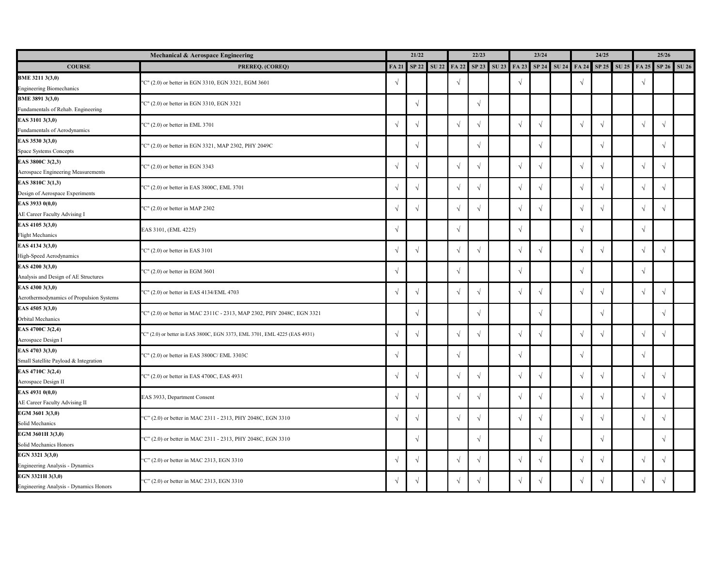|                                          | Mechanical & Aerospace Engineering                                        | 21/22      |             | 22/23 |            |            |                                                 | 23/24      |                   | 24/25 |            |            |                         | 25/26      |            |              |
|------------------------------------------|---------------------------------------------------------------------------|------------|-------------|-------|------------|------------|-------------------------------------------------|------------|-------------------|-------|------------|------------|-------------------------|------------|------------|--------------|
| <b>COURSE</b>                            | PREREQ. (COREQ)                                                           |            | FA 21 SP 22 |       |            |            | SU 22 FA 22 SP 23 SU 23 FA 23 SP 24 SU 24 FA 24 |            |                   |       |            |            | SP 25 SU 25 FA 25 SP 26 |            |            | <b>SU 26</b> |
| BME 3211 3(3,0)                          | "C" (2.0) or better in EGN 3310, EGN 3321, EGM 3601                       | $\sqrt{ }$ |             |       | $\sqrt{ }$ |            |                                                 | $\sqrt{ }$ |                   |       | $\sqrt{ }$ |            |                         |            |            |              |
| <b>Engineering Biomechanics</b>          |                                                                           |            |             |       |            |            |                                                 |            |                   |       |            |            |                         |            |            |              |
| <b>BME 3891 3(3,0)</b>                   | "C" (2.0) or better in EGN 3310, EGN 3321                                 |            | $\sqrt{ }$  |       |            | V          |                                                 |            |                   |       |            |            |                         |            |            |              |
| Fundamentals of Rehab. Engineering       |                                                                           |            |             |       |            |            |                                                 |            |                   |       |            |            |                         |            |            |              |
| EAS 3101 3(3,0)                          | "C" (2.0) or better in EML 3701                                           | $\sqrt{ }$ | $\sqrt{}$   |       | $\sqrt{ }$ |            |                                                 | $\sqrt{ }$ | $\sqrt{ }$        |       | $\sqrt{ }$ | $\sqrt{ }$ |                         |            |            |              |
| Fundamentals of Aerodynamics             |                                                                           |            |             |       |            |            |                                                 |            |                   |       |            |            |                         |            |            |              |
| EAS 3530 3(3,0)                          | "C" (2.0) or better in EGN 3321, MAP 2302, PHY 2049C                      |            | $\sqrt{}$   |       |            |            |                                                 |            | $\mathbf{\hat{}}$ |       |            | $\sqrt{ }$ |                         |            |            |              |
| Space Systems Concepts                   |                                                                           |            |             |       |            |            |                                                 |            |                   |       |            |            |                         |            |            |              |
| EAS 3800C 3(2,3)                         | "C" (2.0) or better in EGN 3343                                           | $\sqrt{ }$ | $\sqrt{ }$  |       | $\sqrt{ }$ |            |                                                 | $\sqrt{ }$ | $\mathbf{\hat{}}$ |       | $\sqrt{ }$ | $\sqrt{ }$ |                         |            |            |              |
| Aerospace Engineering Measurements       |                                                                           |            |             |       |            |            |                                                 |            |                   |       |            |            |                         |            |            |              |
| EAS 3810C 3(1,3)                         | "C" (2.0) or better in EAS 3800C, EML 3701                                | $\sqrt{ }$ | $\sqrt{ }$  |       | $\sqrt{ }$ |            |                                                 | $\sqrt{ }$ | $\mathbf{\hat{}}$ |       | $\sqrt{ }$ | $\gamma$   |                         |            |            |              |
| Design of Aerospace Experiments          |                                                                           |            |             |       |            |            |                                                 |            |                   |       |            |            |                         |            |            |              |
| EAS 3933 0(0,0)                          | "C" $(2.0)$ or better in MAP 2302                                         | $\sqrt{ }$ | $\sqrt{ }$  |       | $\sqrt{ }$ |            |                                                 | $\sqrt{ }$ | $\sqrt{ }$        |       | $\sqrt{ }$ | $\sqrt{ }$ |                         |            | $\sqrt{ }$ |              |
| AE Career Faculty Advising I             |                                                                           |            |             |       |            |            |                                                 |            |                   |       |            |            |                         |            |            |              |
| EAS 4105 3(3,0)                          | EAS 3101, (EML 4225)                                                      | $\sqrt{ }$ |             |       | $\sqrt{ }$ |            |                                                 | $\sqrt{ }$ |                   |       | $\sqrt{ }$ |            |                         |            |            |              |
| <b>Flight Mechanics</b>                  |                                                                           |            |             |       |            |            |                                                 |            |                   |       |            |            |                         |            |            |              |
| EAS 4134 3(3,0)                          | "C" (2.0) or better in EAS 3101                                           | $\sqrt{ }$ |             |       | $\gamma$   |            |                                                 | $\sqrt{ }$ |                   |       |            | $\sqrt{ }$ |                         |            |            |              |
| High-Speed Aerodynamics                  | "C" $(2.0)$ or better in EGM 3601                                         |            |             |       |            |            |                                                 |            |                   |       |            |            |                         |            |            |              |
| EAS 4200 3(3,0)                          |                                                                           | $\sqrt{ }$ |             |       | $\gamma$   |            |                                                 | $\sqrt{ }$ |                   |       |            |            |                         |            |            |              |
| Analysis and Design of AE Structures     |                                                                           |            |             |       |            |            |                                                 |            |                   |       |            |            |                         |            |            |              |
| EAS 4300 3(3,0)                          | "C" (2.0) or better in EAS 4134/EML 4703                                  | $\sqrt{ }$ | $\sqrt{ }$  |       | $\sqrt{ }$ |            |                                                 | $\sqrt{ }$ | $\mathcal{L}$     |       |            | $\sqrt{ }$ |                         |            |            |              |
| Aerothermodynamics of Propulsion Systems |                                                                           |            |             |       |            |            |                                                 |            |                   |       |            |            |                         |            |            |              |
| EAS 4505 3(3,0)                          | "C" (2.0) or better in MAC 2311C - 2313, MAP 2302, PHY 2048C, EGN 3321    |            | $\sqrt{ }$  |       |            |            |                                                 |            | $\sqrt{ }$        |       |            | $\sqrt{ }$ |                         |            |            |              |
| Orbital Mechanics                        |                                                                           |            |             |       |            |            |                                                 |            |                   |       |            |            |                         |            |            |              |
| EAS 4700C 3(2,4)                         | "C" (2.0) or better in EAS 3800C, EGN 3373, EML 3701, EML 4225 (EAS 4931) | $\sqrt{ }$ | $\sqrt{ }$  |       | $\sqrt{ }$ |            |                                                 | $\sqrt{ }$ | $\sqrt{ }$        |       |            | $\sqrt{ }$ |                         |            |            |              |
| Aerospace Design I                       |                                                                           |            |             |       |            |            |                                                 |            |                   |       |            |            |                         |            |            |              |
| EAS 4703 3(3,0)                          | "C" (2.0) or better in EAS 3800C/ EML 3303C                               | $\sqrt{ }$ |             |       | $\sqrt{ }$ |            |                                                 | $\sqrt{ }$ |                   |       | $\sqrt{ }$ |            |                         |            |            |              |
| Small Satellite Payload & Integration    |                                                                           |            |             |       |            |            |                                                 |            |                   |       |            |            |                         |            |            |              |
| EAS 4710C 3(2,4)                         | "C" (2.0) or better in EAS 4700C, EAS 4931                                | $\sqrt{ }$ | $\sqrt{ }$  |       | $\sqrt{ }$ | $\sqrt{ }$ |                                                 | $\sqrt{ }$ | $\sqrt{ }$        |       | $\sqrt{ }$ | $\sqrt{ }$ |                         | $\sqrt{ }$ | $\sqrt{ }$ |              |
| Aerospace Design II                      |                                                                           |            |             |       |            |            |                                                 |            |                   |       |            |            |                         |            |            |              |
| EAS 4931 0(0,0)                          | EAS 3933, Department Consent                                              | $\sqrt{ }$ | $\sqrt{ }$  |       | $\sqrt{ }$ | $\sqrt{ }$ |                                                 | $\sqrt{ }$ | $\sqrt{ }$        |       | $\sqrt{ }$ | $\sqrt{ }$ |                         | $\sqrt{ }$ | $\sqrt{ }$ |              |
| AE Career Faculty Advising II            |                                                                           |            |             |       |            |            |                                                 |            |                   |       |            |            |                         |            |            |              |
| EGM 3601 3(3,0)                          | "C" (2.0) or better in MAC 2311 - 2313, PHY 2048C, EGN 3310               | $\sqrt{ }$ | $\sqrt{ }$  |       | $\sqrt{ }$ | $\sqrt{ }$ |                                                 | $\sqrt{ }$ | $\sqrt{ }$        |       | $\sqrt{ }$ | $\sqrt{ }$ |                         | $\sqrt{ }$ | $\sqrt{ }$ |              |
| Solid Mechanics                          |                                                                           |            |             |       |            |            |                                                 |            |                   |       |            |            |                         |            |            |              |
| EGM 3601H 3(3,0)                         | "C" (2.0) or better in MAC 2311 - 2313, PHY 2048C, EGN 3310               |            | $\sqrt{ }$  |       |            | V          |                                                 |            | $\sqrt{ }$        |       |            | $\sqrt{ }$ |                         |            | $\sqrt{ }$ |              |
| Solid Mechanics Honors                   |                                                                           |            |             |       |            |            |                                                 |            |                   |       |            |            |                         |            |            |              |
| EGN 3321 3(3,0)                          | "C" (2.0) or better in MAC 2313, EGN 3310                                 | $\sqrt{ }$ | $\sqrt{}$   |       | $\sqrt{ }$ | V          |                                                 | $\sqrt{ }$ | $\sqrt{ }$        |       | $\sqrt{ }$ | $\sqrt{ }$ |                         | $\sqrt{ }$ | $\sqrt{ }$ |              |
| Engineering Analysis - Dynamics          |                                                                           |            |             |       |            |            |                                                 |            |                   |       |            |            |                         |            |            |              |
| EGN 3321H 3(3,0)                         | "C" (2.0) or better in MAC 2313, EGN 3310                                 | $\sqrt{ }$ | $\sqrt{ }$  |       | $\sqrt{ }$ |            |                                                 | $\sqrt{ }$ | $\sqrt{ }$        |       |            | $\sqrt{ }$ |                         |            |            |              |
| Engineering Analysis - Dynamics Honors   |                                                                           |            |             |       |            |            |                                                 |            |                   |       |            |            |                         |            |            |              |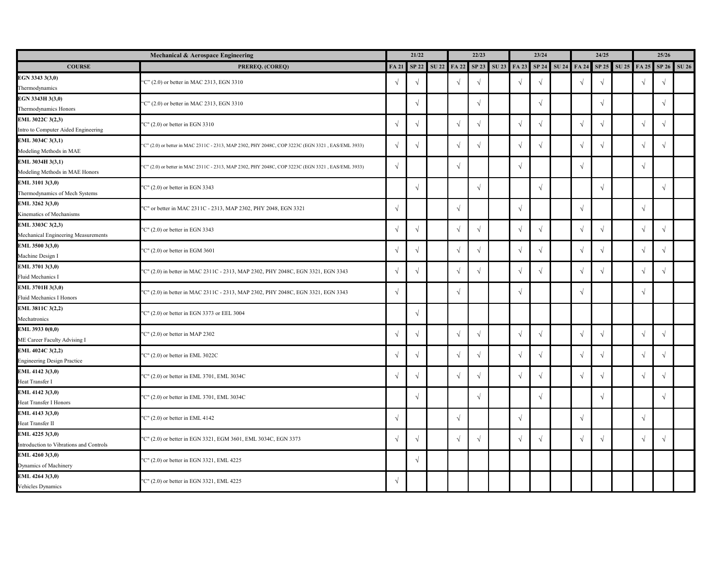| Mechanical & Aerospace Engineering                         |                                                                                                  |               | 21/22      |  | 22/23         |               |                                                 | 23/24      |            |  | 24/25      |               |                   | 25/26      |            |             |
|------------------------------------------------------------|--------------------------------------------------------------------------------------------------|---------------|------------|--|---------------|---------------|-------------------------------------------------|------------|------------|--|------------|---------------|-------------------|------------|------------|-------------|
| <b>COURSE</b>                                              | PREREQ. (COREQ)                                                                                  | <b>FA 21</b>  | SP 22      |  |               |               | SU 22 FA 22 SP 23 SU 23 FA 23 SP 24 SU 24 FA 24 |            |            |  |            |               | SP 25 SU 25 FA 25 |            |            | SP 26 SU 26 |
| EGN 3343 3(3,0)<br>Thermodynamics                          | "C" (2.0) or better in MAC 2313, EGN 3310                                                        | $\sqrt{ }$    | V          |  | $\mathcal{N}$ | $\mathcal{N}$ |                                                 | $\sqrt{ }$ |            |  | $\sqrt{ }$ | $\sqrt{ }$    |                   |            | $\sqrt{ }$ |             |
| EGN 3343H 3(3,0)<br>Thermodynamics Honors                  | "C" (2.0) or better in MAC 2313, EGN 3310                                                        |               | $\sqrt{ }$ |  |               | $\mathcal{N}$ |                                                 |            |            |  |            | $\sqrt{ }$    |                   |            | $\sqrt{ }$ |             |
| EML 3022C 3(2,3)<br>Intro to Computer Aided Engineering    | "C" $(2.0)$ or better in EGN 3310                                                                | $\mathcal{L}$ | $\sqrt{ }$ |  |               |               |                                                 | $\sqrt{ }$ |            |  | $\sqrt{ }$ |               |                   |            | $\sqrt{ }$ |             |
| EML 3034C 3(3,1)<br>Modeling Methods in MAE                | "C" (2.0) or better in MAC 2311C - 2313, MAP 2302, PHY 2048C, COP 3223C (EGN 3321, EAS/EML 3933) | $\mathcal{L}$ | $\sqrt{ }$ |  |               |               |                                                 | $\sqrt{ }$ |            |  | $\sqrt{ }$ |               |                   |            | $\sqrt{ }$ |             |
| EML 3034H 3(3,1)<br>Modeling Methods in MAE Honors         | "C" (2.0) or better in MAC 2311C - 2313, MAP 2302, PHY 2048C, COP 3223C (EGN 3321, EAS/EML 3933) | $\sqrt{ }$    |            |  | $\mathcal{N}$ |               |                                                 | $\sqrt{ }$ |            |  | $\sqrt{ }$ |               |                   |            |            |             |
| EML 3101 3(3,0)<br>Thermodynamics of Mech Systems          | "C" (2.0) or better in EGN 3343                                                                  |               | $\sqrt{ }$ |  |               |               |                                                 |            |            |  |            | $\sqrt{ }$    |                   |            | $\sqrt{ }$ |             |
| EML 3262 3(3,0)<br>Kinematics of Mechanisms                | "C" or better in MAC 2311C - 2313, MAP 2302, PHY 2048, EGN 3321                                  | $\Delta$      |            |  | $\sqrt{ }$    |               |                                                 | $\sqrt{ }$ |            |  | $\sqrt{ }$ |               |                   |            |            |             |
| EML 3303C 3(2,3)<br>Mechanical Engineering Measurements    | "C" (2.0) or better in EGN 3343                                                                  | $\Delta$      | $\sqrt{ }$ |  | $\mathcal{N}$ | $\mathcal{N}$ |                                                 | $\sqrt{ }$ |            |  | $\sqrt{ }$ | $\mathcal{N}$ |                   |            | $\sqrt{ }$ |             |
| EML 3500 3(3,0)<br>Machine Design I                        | "C" (2.0) or better in EGM 3601                                                                  | $\Delta$      |            |  | $\mathcal{N}$ | $\sim$        |                                                 | $\sqrt{ }$ |            |  | $\sqrt{ }$ |               |                   |            | $\sqrt{ }$ |             |
| EML 3701 3(3,0)<br>Fluid Mechanics I                       | "C" (2.0) in better in MAC 2311C - 2313, MAP 2302, PHY 2048C, EGN 3321, EGN 3343                 | $\sqrt{ }$    | V          |  |               |               |                                                 | $\sim$     |            |  |            |               |                   |            | $\sqrt{ }$ |             |
| EML 3701H 3(3,0)<br>Fluid Mechanics I Honors               | "C" (2.0) in better in MAC 2311C - 2313, MAP 2302, PHY 2048C, EGN 3321, EGN 3343                 | $\sqrt{ }$    |            |  |               |               |                                                 | $\sqrt{ }$ |            |  |            |               |                   |            |            |             |
| EML 3811C 3(2,2)<br>Mechatronics                           | "C" (2.0) or better in EGN 3373 or EEL 3004                                                      |               | $\sqrt{ }$ |  |               |               |                                                 |            |            |  |            |               |                   |            |            |             |
| EML 3933 0(0,0)<br>ME Career Faculty Advising I            | "C" $(2.0)$ or better in MAP 2302                                                                | $\mathcal{L}$ |            |  | $\sqrt{ }$    |               |                                                 | $\sqrt{ }$ |            |  | $\sqrt{ }$ | $\sqrt{ }$    |                   |            | $\sqrt{ }$ |             |
| EML 4024C 3(2,2)<br><b>Engineering Design Practice</b>     | "C" (2.0) or better in EML 3022C                                                                 | $\sqrt{ }$    | $\sqrt{ }$ |  | $\sqrt{ }$    |               |                                                 | $\sqrt{ }$ |            |  | $\sqrt{ }$ | $\sqrt{ }$    |                   |            | $\sqrt{ }$ |             |
| EML 4142 3(3,0)<br>Heat Transfer I                         | "C" (2.0) or better in EML 3701, EML 3034C                                                       | $\sqrt{ }$    | $\sqrt{ }$ |  | $\sqrt{ }$    | $\sqrt{ }$    |                                                 | $\sqrt{ }$ | $\sqrt{ }$ |  | $\sqrt{ }$ | $\sqrt{ }$    |                   | $\sqrt{ }$ | $\sqrt{ }$ |             |
| EML 4142 3(3,0)<br>Heat Transfer I Honors                  | "C" (2.0) or better in EML 3701, EML 3034C                                                       |               | $\sqrt{ }$ |  |               | $\sqrt{ }$    |                                                 |            | $\sqrt{ }$ |  |            | $\sqrt{ }$    |                   |            | $\sqrt{ }$ |             |
| EML 4143 3(3,0)<br>Heat Transfer II                        | "C" $(2.0)$ or better in EML 4142                                                                | $\sqrt{ }$    |            |  | $\sqrt{ }$    |               |                                                 | $\sqrt{ }$ |            |  | $\sqrt{ }$ |               |                   | $\sqrt{ }$ |            |             |
| EML 4225 3(3,0)<br>Introduction to Vibrations and Controls | "C" (2.0) or better in EGN 3321, EGM 3601, EML 3034C, EGN 3373                                   | $\sqrt{ }$    | $\sqrt{ }$ |  | $\sqrt{ }$    | $\sqrt{ }$    |                                                 | $\sqrt{ }$ |            |  | $\sqrt{ }$ | $\sqrt{ }$    |                   | $\sqrt{ }$ | $\sqrt{ }$ |             |
| EML 4260 3(3,0)<br>Dynamics of Machinery                   | "C" (2.0) or better in EGN 3321, EML 4225                                                        |               | $\sqrt{ }$ |  |               |               |                                                 |            |            |  |            |               |                   |            |            |             |
| EML 4264 3(3,0)<br>Vehicles Dynamics                       | "C" (2.0) or better in EGN 3321, EML 4225                                                        | $\sqrt{ }$    |            |  |               |               |                                                 |            |            |  |            |               |                   |            |            |             |